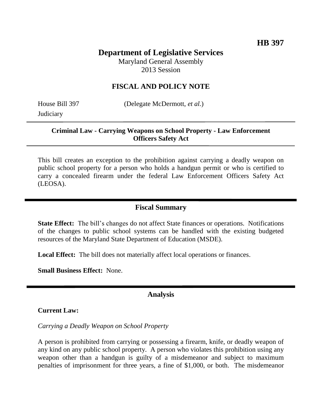# **Department of Legislative Services**

Maryland General Assembly 2013 Session

# **FISCAL AND POLICY NOTE**

**Judiciary** 

House Bill 397 (Delegate McDermott, *et al.*)

### **Criminal Law - Carrying Weapons on School Property - Law Enforcement Officers Safety Act**

This bill creates an exception to the prohibition against carrying a deadly weapon on public school property for a person who holds a handgun permit or who is certified to carry a concealed firearm under the federal Law Enforcement Officers Safety Act (LEOSA).

## **Fiscal Summary**

**State Effect:** The bill's changes do not affect State finances or operations. Notifications of the changes to public school systems can be handled with the existing budgeted resources of the Maryland State Department of Education (MSDE).

**Local Effect:** The bill does not materially affect local operations or finances.

**Small Business Effect:** None.

#### **Analysis**

**Current Law:**

*Carrying a Deadly Weapon on School Property*

A person is prohibited from carrying or possessing a firearm, knife, or deadly weapon of any kind on any public school property. A person who violates this prohibition using any weapon other than a handgun is guilty of a misdemeanor and subject to maximum penalties of imprisonment for three years, a fine of \$1,000, or both. The misdemeanor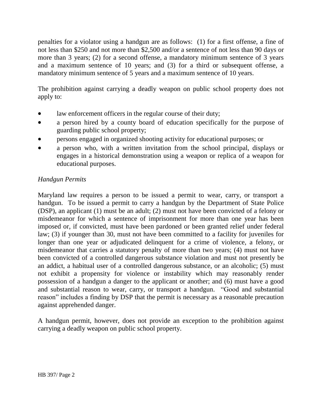penalties for a violator using a handgun are as follows: (1) for a first offense, a fine of not less than \$250 and not more than \$2,500 and/or a sentence of not less than 90 days or more than 3 years; (2) for a second offense, a mandatory minimum sentence of 3 years and a maximum sentence of 10 years; and (3) for a third or subsequent offense, a mandatory minimum sentence of 5 years and a maximum sentence of 10 years.

The prohibition against carrying a deadly weapon on public school property does not apply to:

- law enforcement officers in the regular course of their duty;
- a person hired by a county board of education specifically for the purpose of guarding public school property;
- persons engaged in organized shooting activity for educational purposes; or
- a person who, with a written invitation from the school principal, displays or engages in a historical demonstration using a weapon or replica of a weapon for educational purposes.

# *Handgun Permits*

Maryland law requires a person to be issued a permit to wear, carry, or transport a handgun. To be issued a permit to carry a handgun by the Department of State Police (DSP), an applicant (1) must be an adult; (2) must not have been convicted of a felony or misdemeanor for which a sentence of imprisonment for more than one year has been imposed or, if convicted, must have been pardoned or been granted relief under federal law; (3) if younger than 30, must not have been committed to a facility for juveniles for longer than one year or adjudicated delinquent for a crime of violence, a felony, or misdemeanor that carries a statutory penalty of more than two years; (4) must not have been convicted of a controlled dangerous substance violation and must not presently be an addict, a habitual user of a controlled dangerous substance, or an alcoholic; (5) must not exhibit a propensity for violence or instability which may reasonably render possession of a handgun a danger to the applicant or another; and (6) must have a good and substantial reason to wear, carry, or transport a handgun. "Good and substantial reason" includes a finding by DSP that the permit is necessary as a reasonable precaution against apprehended danger.

A handgun permit, however, does not provide an exception to the prohibition against carrying a deadly weapon on public school property.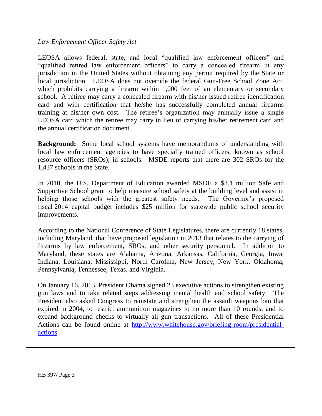## *Law Enforcement Officer Safety Act*

LEOSA allows federal, state, and local "qualified law enforcement officers" and "qualified retired law enforcement officers" to carry a concealed firearm in any jurisdiction in the United States without obtaining any permit required by the State or local jurisdiction. LEOSA does not override the federal Gun-Free School Zone Act, which prohibits carrying a firearm within 1,000 feet of an elementary or secondary school. A retiree may carry a concealed firearm with his/her issued retiree identification card and with certification that he/she has successfully completed annual firearms training at his/her own cost. The retiree's organization may annually issue a single LEOSA card which the retiree may carry in lieu of carrying his/her retirement card and the annual certification document.

**Background:** Some local school systems have memorandums of understanding with local law enforcement agencies to have specially trained officers, known as school resource officers (SROs), in schools. MSDE reports that there are 302 SROs for the 1,437 schools in the State.

In 2010, the U.S. Department of Education awarded MSDE a \$3.1 million Safe and Supportive School grant to help measure school safety at the building level and assist in helping those schools with the greatest safety needs. The Governor's proposed fiscal 2014 capital budget includes \$25 million for statewide public school security improvements.

According to the National Conference of State Legislatures, there are currently 18 states, including Maryland, that have proposed legislation in 2013 that relates to the carrying of firearms by law enforcement, SROs, and other security personnel. In addition to Maryland, these states are Alabama, Arizona, Arkansas, California, Georgia, Iowa, Indiana, Louisiana, Mississippi, North Carolina, New Jersey, New York, Oklahoma, Pennsylvania, Tennessee, Texas, and Virginia.

On January 16, 2013, President Obama signed 23 executive actions to strengthen existing gun laws and to take related steps addressing mental health and school safety. The President also asked Congress to reinstate and strengthen the assault weapons ban that expired in 2004, to restrict ammunition magazines to no more than 10 rounds, and to expand background checks to virtually all gun transactions. All of these Presidential Actions can be found online at [http://www.whitehouse.gov/briefing-room/presidential](http://www.whitehouse.gov/briefing-room/presidential-actions)[actions.](http://www.whitehouse.gov/briefing-room/presidential-actions)